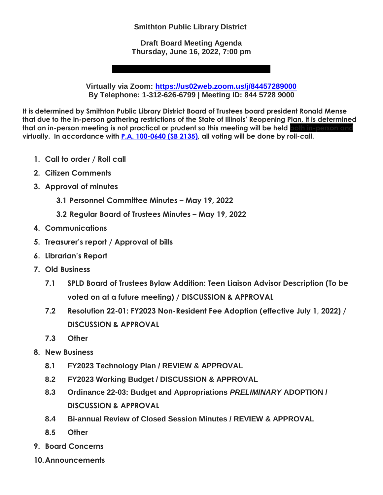**Smithton Public Library District**

**Draft Board Meeting Agenda Thursday, June 16, 2022, 7:00 pm**

**Virtually via Zoom:<https://us02web.zoom.us/j/84457289000> By Telephone: 1-312-626-6799 | Meeting ID: 844 5728 9000**

**It is determined by Smithton Public Library District Board of Trustees board president Ronald Mense that due to the in-person gathering restrictions of the State of Illinois' Reopening Plan, it is determined that an in-person meeting is not practical or prudent so this meeting will be held <b>both in-person a virtually. In accordance with [P.A. 100-0640 \(SB 2135\),](http://www.ilga.gov/legislation/publicacts/101/101-0640.htm) all voting will be done by roll-call.**

- **1. Call to order / Roll call**
- **2. Citizen Comments**
- **3. Approval of minutes**
	- **3.1 Personnel Committee Minutes – May 19, 2022**
	- **3.2 Regular Board of Trustees Minutes – May 19, 2022**
- **4. Communications**
- **5. Treasurer's report / Approval of bills**
- **6. Librarian's Report**
- **7. Old Business**
	- **7.1 SPLD Board of Trustees Bylaw Addition: Teen Liaison Advisor Description (To be voted on at a future meeting) / DISCUSSION & APPROVAL**
	- **7.2 Resolution 22-01: FY2023 Non-Resident Fee Adoption (effective July 1, 2022) / DISCUSSION & APPROVAL**
	- **7.3 Other**
- **8. New Business** 
	- **8.1 FY2023 Technology Plan / REVIEW & APPROVAL**
	- **8.2 FY2023 Working Budget / DISCUSSION & APPROVAL**
	- **8.3 Ordinance 22-03: Budget and Appropriations** *PRELIMINARY* **ADOPTION / DISCUSSION & APPROVAL**
	- **8.4 Bi-annual Review of Closed Session Minutes / REVIEW & APPROVAL**
	- **8.5 Other**
- **9. Board Concerns**
- **10.Announcements**